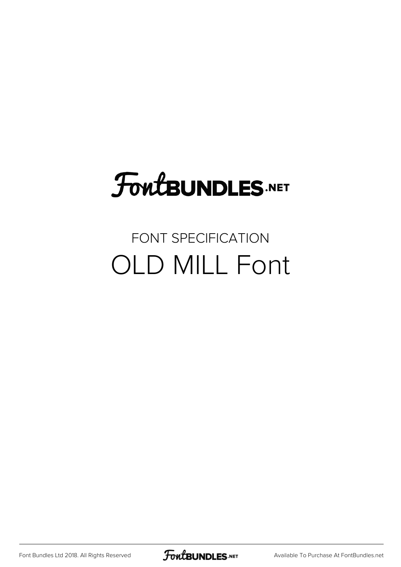# **FoutBUNDLES.NET**

### FONT SPECIFICATION OLD MILL Font

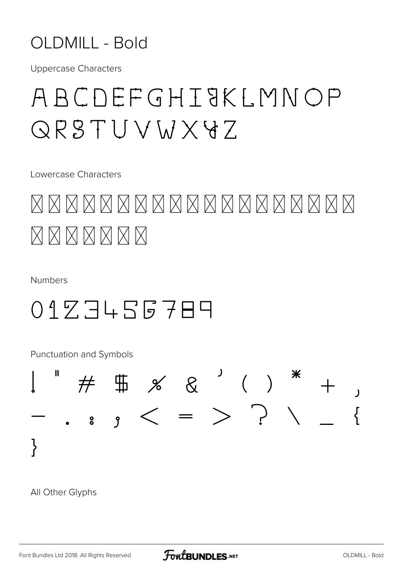#### **OLDMILL - Bold**

**Uppercase Characters** 

# ARCDEFGHISKLMNOP QRSTUVWX47

Lowercase Characters

## N N N N N N N N N N N N N N N N N MMMMMMM

Numbers

### $01ZJ4S57H9$

**Punctuation and Symbols** 



All Other Glyphs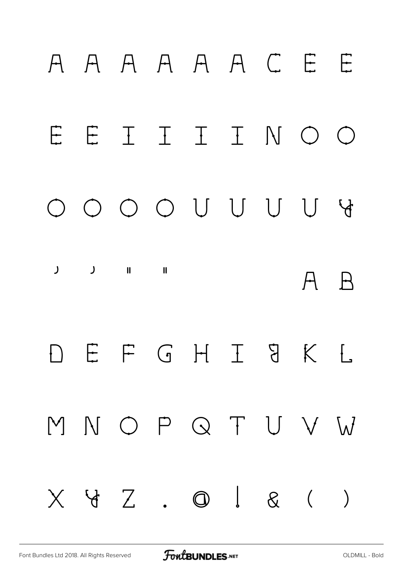# AAAAAAACEE EIIIINOO F OOOOUUUU  $\forall$  $\mathbf{J}$  $\overline{\phantom{a}}$  $\mathbf{I}$  $\mathbf{I}$ A R E F G H I J K L  $\bigcap$ MNOPQTUVW  $X$   $Y$   $Z$   $Q$   $Q$   $R$  ( )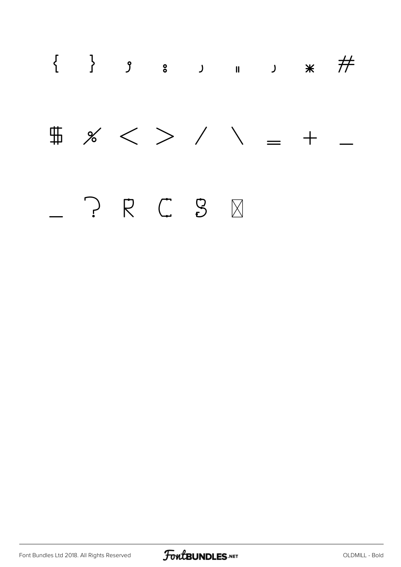

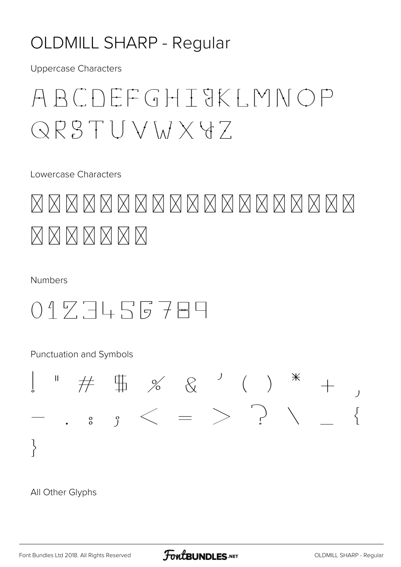#### **OLDMILL SHARP - Regular**

**Uppercase Characters** 

## ARCDEFGHT9KLMNOP  $QRSTUVAX47$

Lowercase Characters

### MMMMMMM

Numbers

 $01274557777$ 

Punctuation and Symbols



All Other Glyphs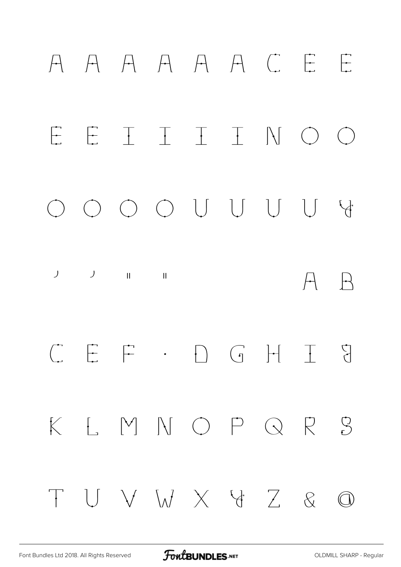

**FoutBUNDLES**.NET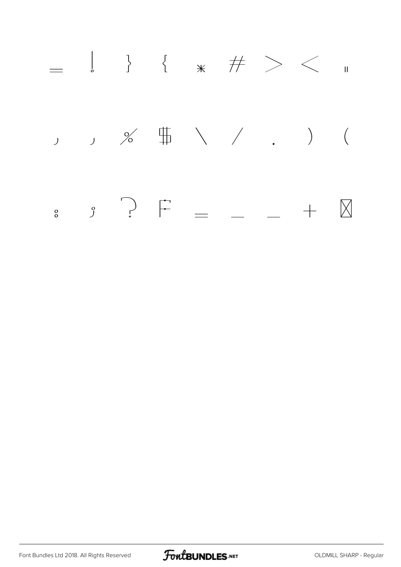

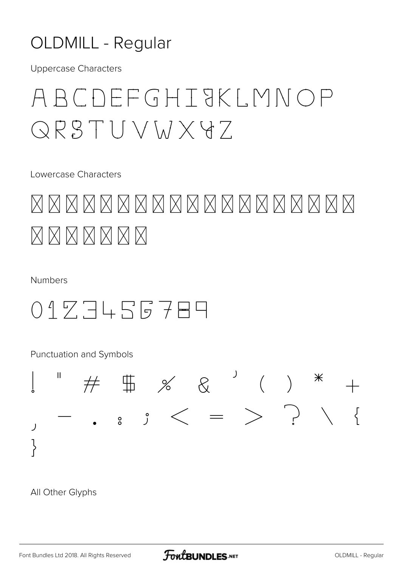#### **OLDMILL - Regular**

**Uppercase Characters** 

# ARCDEFGHT9KLMNOP QRSTUVWXYZ

Lowercase Characters

## N N N N N N N N N N N N N N N N N MMMMMMM

Numbers

 $017.7455789$ 

**Punctuation and Symbols** 



All Other Glyphs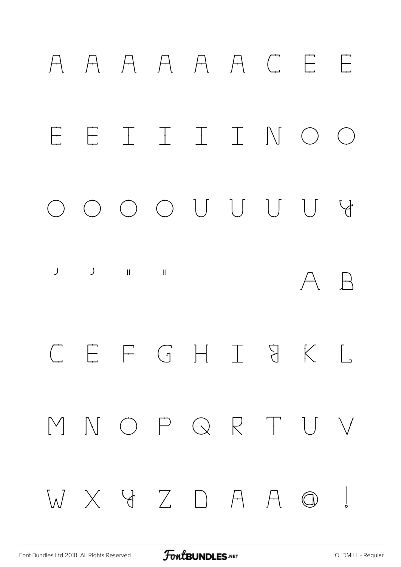### AAAAAAACEE IIIINO  $\Box$  $\bigcirc$  $\Box$  $\bigcirc$ OOOUUUU  $\forall$  $\overline{\mathcal{L}}$  $\overline{\phantom{a}}$  $\blacksquare$  $\mathbf{I}$  $\bigwedge$  $\overline{R}$ EFGHI TKL  $\begin{array}{c} \begin{array}{c} \end{array} \end{array}$ MNOPQRTUV W X Y Z D A A Q